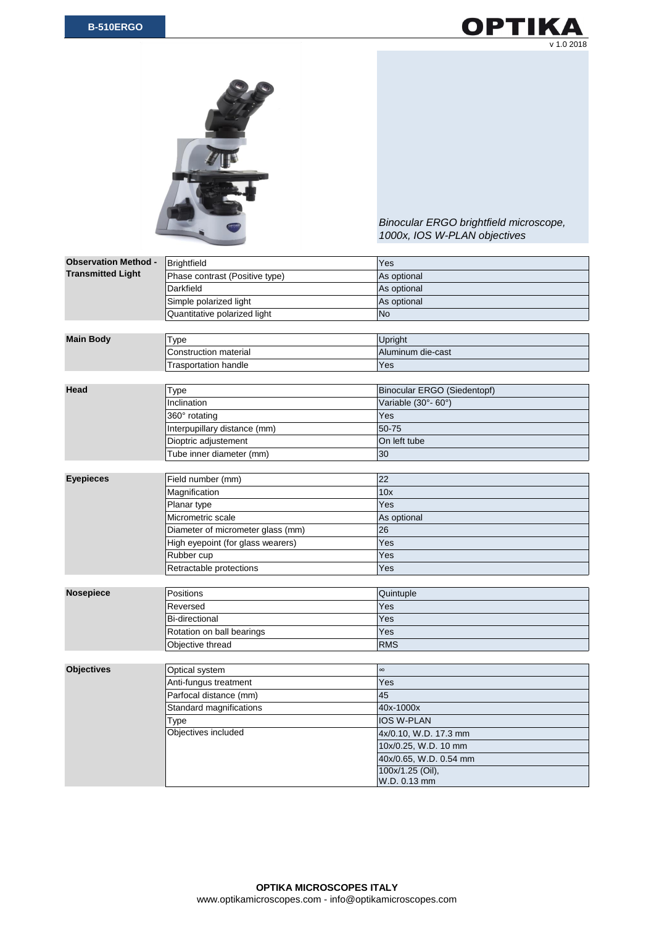



*Binocular ERGO brightfield microscope, 1000x, IOS W-PLAN objectives*

| <b>Observation Method -</b> | <b>Brightfield</b>                | Yes                                |
|-----------------------------|-----------------------------------|------------------------------------|
| <b>Transmitted Light</b>    | Phase contrast (Positive type)    | As optional                        |
|                             | Darkfield                         | As optional                        |
|                             | Simple polarized light            | As optional                        |
|                             | Quantitative polarized light      | <b>No</b>                          |
|                             |                                   |                                    |
| <b>Main Body</b>            | Type                              | Upright                            |
|                             | <b>Construction material</b>      | Aluminum die-cast                  |
|                             | <b>Trasportation handle</b>       | Yes                                |
|                             |                                   |                                    |
| Head                        | <b>Type</b>                       | <b>Binocular ERGO (Siedentopf)</b> |
|                             | Inclination                       | Variable (30°- 60°)                |
|                             | 360° rotating                     | Yes                                |
|                             | Interpupillary distance (mm)      | 50-75                              |
|                             | Dioptric adjustement              | On left tube                       |
|                             | Tube inner diameter (mm)          | 30                                 |
|                             |                                   |                                    |
| <b>Eyepieces</b>            | Field number (mm)                 | 22                                 |
|                             | Magnification                     | 10x                                |
|                             | Planar type                       | Yes                                |
|                             | Micrometric scale                 | As optional                        |
|                             | Diameter of micrometer glass (mm) | 26                                 |
|                             | High eyepoint (for glass wearers) | Yes                                |
|                             | Rubber cup                        | Yes                                |
|                             | Retractable protections           | Yes                                |
|                             |                                   |                                    |
| <b>Nosepiece</b>            | Positions                         | Quintuple                          |
|                             | Reversed                          | Yes                                |
|                             | <b>Bi-directional</b>             | Yes                                |
|                             | Rotation on ball bearings         | Yes                                |
|                             | Objective thread                  | <b>RMS</b>                         |
|                             |                                   |                                    |
| <b>Objectives</b>           | Optical system                    | $\infty$                           |
|                             | Anti-fungus treatment             | Yes                                |
|                             | Parfocal distance (mm)            | 45                                 |
|                             | Standard magnifications           | 40x-1000x                          |
|                             | <b>Type</b>                       | IOS W-PLAN                         |
|                             | Objectives included               | 4x/0.10, W.D. 17.3 mm              |
|                             |                                   | 10x/0.25, W.D. 10 mm               |
|                             |                                   | 40x/0.65, W.D. 0.54 mm             |
|                             |                                   | 100x/1.25 (Oil),                   |
|                             |                                   | W.D. 0.13 mm                       |